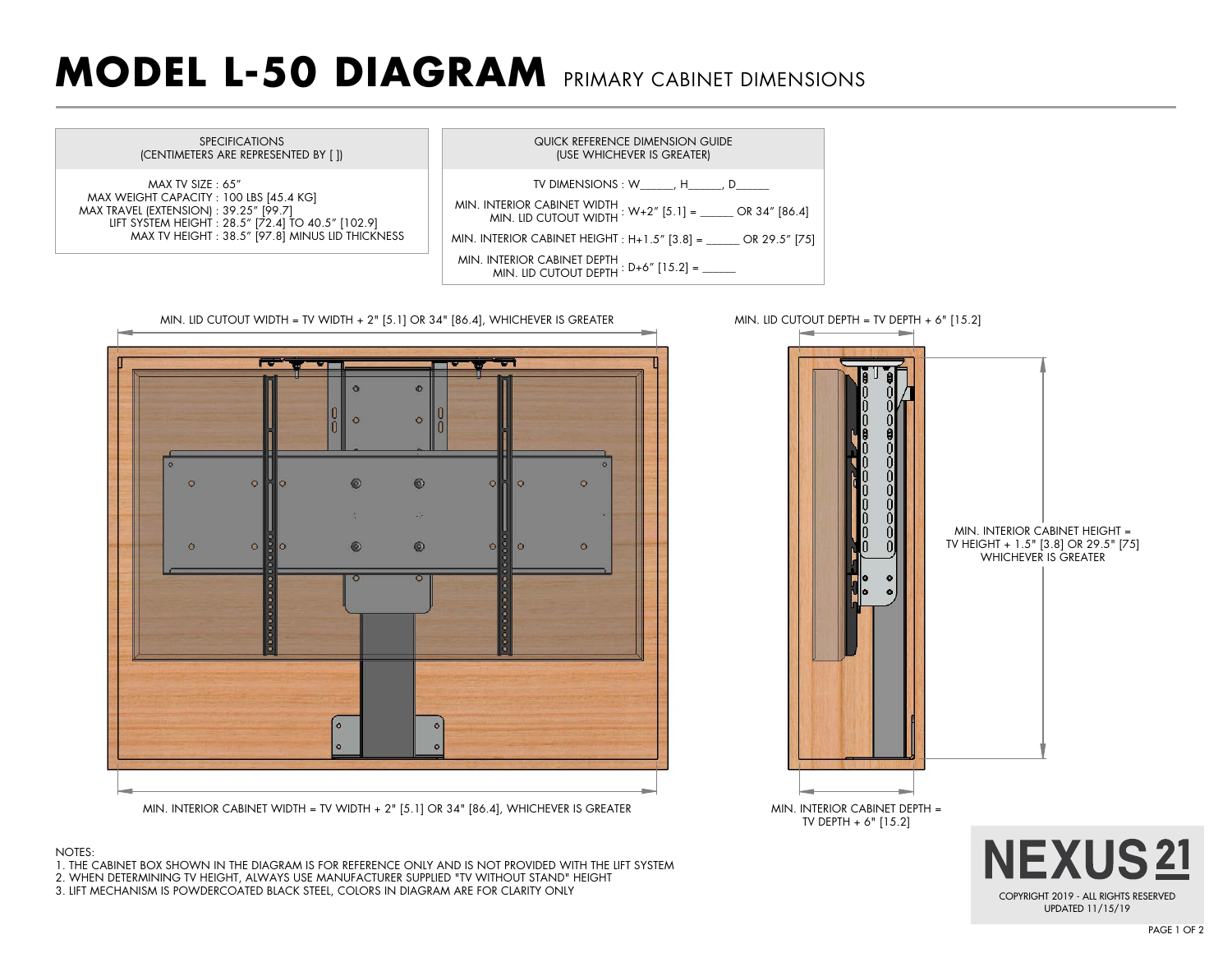## **MODEL L-50 DIAGRAM** PRIMARY CABINET DIMENSIONS





- 1. THE CABINET BOX SHOWN IN THE DIAGRAM IS FOR REFERENCE ONLY AND IS NOT PROVIDED WITH THE LIFT SYSTEM
- 2. WHEN DETERMINING TV HEIGHT, ALWAYS USE MANUFACTURER SUPPLIED "TV WITHOUT STAND" HEIGHT
- 3. LIFT MECHANISM IS POWDERCOATED BLACK STEEL, COLORS IN DIAGRAM ARE FOR CLARITY ONLY